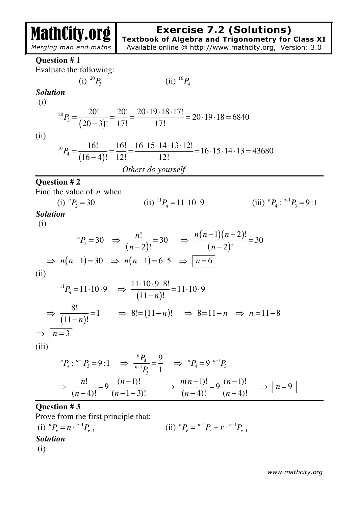# MathCity.org

# **Exercise 7.2 (Solutions)**

**Textbook of Algebra and Trigonometry for Class XI**  Available online @ http://www.mathcity.org, Version: 3.0

 *Merging man and maths*

**Question # 1** 

Evaluate the following:

 $(i)$  <sup>20</sup> $P_3$ 

$$
(ii) 16P4
$$

*Solution* 

(i)

$$
{}^{20}P_3 = \frac{20!}{(20-3)!} = \frac{20!}{17!} = \frac{20 \cdot 19 \cdot 18 \cdot 17!}{17!} = 20 \cdot 19 \cdot 18 = 6840
$$

(ii)

 $(16 - 4)$ 16  $P_4 = \frac{16!}{(16-4)!} = \frac{16!}{12!} = \frac{16 \cdot 15 \cdot 14 \cdot 13 \cdot 12!}{12!} = 16 \cdot 15 \cdot 14 \cdot 13 = 43680$  $16-4$ ! 12! 12! *P*  $\cdot 15 \cdot 14 \cdot 13 \cdot$  $=\frac{10!}{(15-1)!}=\frac{10!}{10!}=\frac{10!}{10!}=\frac{10!}{10!}=\frac{10!}{10!}=\frac{10!}{10!}=\frac{10!}{10!}=\frac{10!}{10!}=\frac{10!}{10!}=\frac{10!}{10!}=\frac{10!}{10!}=\frac{10!}{10!}=\frac{10!}{10!}=\frac{10!}{10!}=\frac{10!}{10!}=\frac{10!}{10!}=\frac{10!}{10!}=\frac{10!}{10!}=\frac{10!}{10!}=\frac{10!}{1$ − *Others do yourself* 

# **Question # 2**

Find the value of *n* when:

(i) 
$$
{}^{n}P_{2} = 30
$$
 (ii)  ${}^{11}P_{n} = 11 \cdot 10 \cdot 9$  (iii)  ${}^{n}P_{4} : {}^{n-1}P_{3} = 9:1$   
**Solution**

(i)

$$
{}^{n}P_{2} = 30 \Rightarrow \frac{n!}{(n-2)!} = 30 \Rightarrow \frac{n(n-1)(n-2)!}{(n-2)!} = 30
$$
  
 $\Rightarrow n(n-1) = 30 \Rightarrow n(n-1) = 6.5 \Rightarrow \boxed{n=6}$ 

(ii)

$$
{}^{11}P_n = 11 \cdot 10 \cdot 9 \implies \frac{11 \cdot 10 \cdot 9 \cdot 8!}{(11 - n)!} = 11 \cdot 10 \cdot 9
$$
  
\n⇒  $\frac{8!}{(11 - n)!} = 1 \implies 8! = (11 - n)! \implies 8 = 11 - n \implies n = 11 - 8$   
\n⇒  $\boxed{n = 3}$   
\n(iii)

$$
{}^{n}P_{4}: {}^{n-1}P_{3} = 9:1 \Rightarrow \frac{{}^{n}P_{4}}{{}^{n-1}P_{3}} = \frac{9}{1} \Rightarrow {}^{n}P_{4} = 9 {}^{n-1}P_{3}
$$
  

$$
\Rightarrow \frac{n!}{(n-4)!} = 9 \frac{(n-1)!}{(n-1-3)!} \Rightarrow \frac{n(n-1)!}{(n-4)!} = 9 \frac{(n-1)!}{(n-4)!} \Rightarrow \boxed{n=9}
$$

# **Question # 3**

Prove from the first principle that:

(i) 
$$
{}^{n}P_{r} = n \cdot {}^{n-1}P_{r-1}
$$
  
\n*Solution*  
\n(i)  ${}^{n}P_{r} = {}^{n-1}P_{r} + r \cdot {}^{n-1}P_{r-1}$   
\n(j)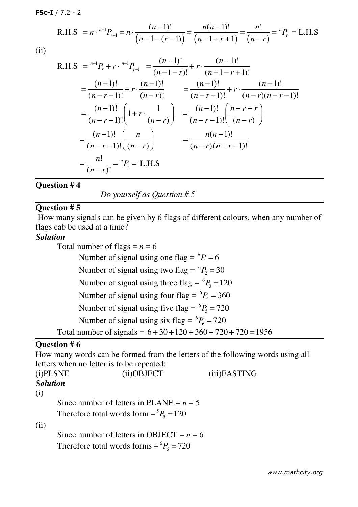**FSc-I** / 7.2 - 2

R.H.S = 
$$
n \cdot {}^{n-1}P_{r-1} = n \cdot \frac{(n-1)!}{(n-1-(r-1))} = \frac{n(n-1)!}{(n-1-r+1)} = \frac{n!}{(n-r)} = {}^{n}P_{r} = \text{L.H.S}
$$

(ii)

R.H.S = 
$$
{}^{n-1}P_r + r \cdot {}^{n-1}P_{r-1} = \frac{(n-1)!}{(n-1-r)!} + r \cdot \frac{(n-1)!}{(n-1-r+1)!}
$$
  
\n
$$
= \frac{(n-1)!}{(n-r-1)!} + r \cdot \frac{(n-1)!}{(n-r)!} = \frac{(n-1)!}{(n-r-1)!} + r \cdot \frac{(n-1)!}{(n-r)(n-r-1)!}
$$
\n
$$
= \frac{(n-1)!}{(n-r-1)!} \left(1 + r \cdot \frac{1}{(n-r)}\right) = \frac{(n-1)!}{(n-r-1)!} \left(\frac{n-r+r}{(n-r)}\right)
$$
\n
$$
= \frac{(n-1)!}{(n-r-1)!} \left(\frac{n}{(n-r)}\right) = \frac{n(n-1)!}{(n-r)(n-r-1)!}
$$
\n
$$
= \frac{n!}{(n-r)!} = {}^{n}P_r = \text{L.H.S}
$$

#### **Question # 4**

*Do yourself as Question # 5* 

# **Question # 5**

 How many signals can be given by 6 flags of different colours, when any number of flags cab be used at a time?

#### *Solution*

Total number of flags  $= n = 6$ Number of signal using one flag =  ${}^{6}P_1$  = 6 Number of signal using two flag =  ${}^{6}P_{2}$  = 30 Number of signal using three flag =  ${}^{6}P_3$  = 120 Number of signal using four flag =  ${}^{6}P_4$  = 360 Number of signal using five flag =  ${}^{6}P_5 = 720$ Number of signal using six flag =  ${}^{6}P_6$  = 720 Total number of signals =  $6 + 30 + 120 + 360 + 720 + 720 = 1956$ 

#### **Question # 6**

How many words can be formed from the letters of the following words using all letters when no letter is to be repeated:

| (i)PLSNE        | (ii)OBJECT                                    | (iii)FASTING |
|-----------------|-----------------------------------------------|--------------|
| <b>Solution</b> |                                               |              |
| (i)             |                                               |              |
|                 | Since number of letters in PLANE = $n = 5$    |              |
|                 | Therefore total words form $= {}^5P_5 = 120$  |              |
| (ii)            |                                               |              |
|                 | Since number of letters in OBJECT = $n = 6$   |              |
|                 | Therefore total words forms = ${}^6P_6$ = 720 |              |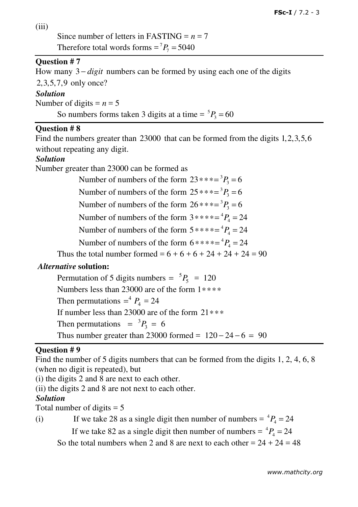(iii)

Since number of letters in FASTING  $= n = 7$ Therefore total words forms  $= {}^{7}P_{7} = 5040$ 

# **Question # 7**

How many 3 − *digit* numbers can be formed by using each one of the digits 2,3,5,7,9 only once?

#### *Solution*

Number of digits  $= n = 5$ 

So numbers forms taken 3 digits at a time  $= {}^5P_3 = 60$ 

#### **Question # 8**

Find the numbers greater than 23000 that can be formed from the digits 1,2,3,5,6 without repeating any digit.

#### *Solution*

Number greater than 23000 can be formed as

Number of numbers of the form  $23$ \*\*\*=<sup>3</sup> $P_3$  = 6 Number of numbers of the form  $25$ <sup>\*\*\*= ${}^{3}P_{3}$  = 6</sup> Number of numbers of the form  $26$ \*\*\*=<sup>3</sup> $P_3$  = 6 Number of numbers of the form  $3****=\frac{4}{4}P_4 = 24$ Number of numbers of the form  $5****=\frac{4}{4}P_4 = 24$ Number of numbers of the form  $6****=\frac{4}{4}P_4 = 24$ 

Thus the total number formed =  $6 + 6 + 6 + 24 + 24 + 24 = 90$ 

# *Alternative* **solution:**

Permutation of 5 digits numbers =  ${}^{5}P_5$  = 120 Numbers less than 23000 are of the form 1∗∗∗∗ Then permutations  $=$ <sup>4</sup>  $P_4$  = 24 If number less than 23000 are of the form 21∗∗∗ Then permutations  $= {}^{3}P_3 = 6$ Thus number greater than 23000 formed =  $120 - 24 - 6 = 90$ 

# **Question # 9**

Find the number of 5 digits numbers that can be formed from the digits 1, 2, 4, 6, 8 (when no digit is repeated), but

(i) the digits 2 and 8 are next to each other.

(ii) the digits 2 and 8 are not next to each other.

# *Solution*

Total number of digits  $= 5$ 

(i) If we take 28 as a single digit then number of numbers =  ${}^{4}P_{4} = 24$ 

If we take 82 as a single digit then number of numbers =  ${}^{4}P_{4} = 24$ 

So the total numbers when 2 and 8 are next to each other  $= 24 + 24 = 48$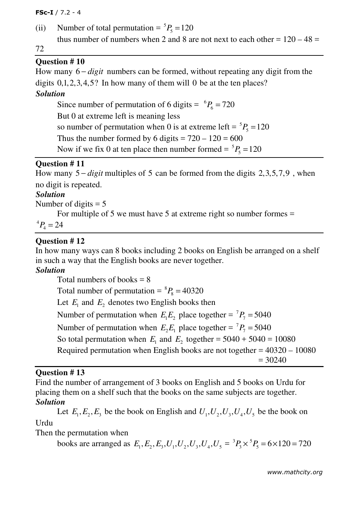**FSc-I** / 7.2 - 4

(ii) Number of total permutation =  ${}^5P_5 = 120$ thus number of numbers when 2 and 8 are not next to each other =  $120 - 48 =$ 

72

# **Question # 10**

How many 6 – *digit* numbers can be formed, without repeating any digit from the digits  $0,1,2,3,4,5$ ? In how many of them will 0 be at the ten places?

#### *Solution*

Since number of permutation of 6 digits =  ${}^{6}P_6 = 720$ But 0 at extreme left is meaning less so number of permutation when 0 is at extreme left =  ${}^5P_5$  = 120 Thus the number formed by 6 digits =  $720 - 120 = 600$ Now if we fix 0 at ten place then number formed  $= {}^5P_5 = 120$ 

# **Question # 11**

How many 5 − *digit* multiples of 5 can be formed from the digits 2,3,5,7,9 , when no digit is repeated.

# *Solution*

Number of digits  $= 5$ 

For multiple of 5 we must have 5 at extreme right so number formes =

 $^{4}P_{4} = 24$ 

#### **Question # 12**

In how many ways can 8 books including 2 books on English be arranged on a shelf in such a way that the English books are never together.

# *Solution*

Total numbers of books  $= 8$ Total number of permutation  $= {}^{8}P_8 = 40320$ Let  $E_1$  and  $E_2$  denotes two English books then Number of permutation when  $E_1 E_2$  place together =  ${}^7P_7$  = 5040 Number of permutation when  $E_2 E_1$  place together =  ${}^7P_7$  = 5040 So total permutation when  $E_1$  and  $E_2$  together = 5040 + 5040 = 10080 Required permutation when English books are not together = 40320 – 10080  $= 30240$ 

#### **Question # 13**

Find the number of arrangement of 3 books on English and 5 books on Urdu for placing them on a shelf such that the books on the same subjects are together. *Solution*

Let  $E_1, E_2, E_3$  be the book on English and  $U_1, U_2, U_3, U_4, U_5$  be the book on Urdu

Then the permutation when

books are arranged as  $E_1, E_2, E_3, U_1, U_2, U_3, U_4, U_5 = {}^3P_3 \times {}^5P_5 = 6 \times 120 = 720$